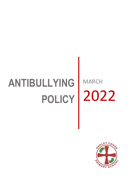# **ANTIBULLYING POLICY** 2022MARCH

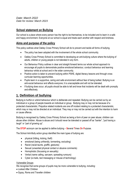*Date: March 2022 Date for review: March 2023*

## **School statement on Bullying**

Our school is a place where every person has the right to be themselves, to be included and to learn in a safe and happy environment. Everyone at our school is equal and treats each another with respect and kindness.

### **Aims and purpose of the policy**

This policy outlines what Oakley Cross Primary School will do to prevent and tackle all forms of bullying.

- The policy has been adopted with the involvement of the whole school community.
- Oakley Cross Primary School is committed to developing an anti-bullying culture where the bullying of adults, children or young people is not tolerated in any form.
- Our Behaviour Policy outlines in clear and straight forward terms our whole school approach to encourage all pupils to demonstrate positive emotional behaviour, conduct behaviour and learning behaviour whilst at school and in the wider community.
- Positive action is taken to prevent bullying within PSHE, digital literacy lessons and through cross curricular learning opportunities.
- Pupils learn in a supportive, caring and safe environment without fear of being bullied. Bullying is an anti-social behaviour and affects everyone; it is unacceptable and will not be tolerated.
- If bullying does occur, all pupils should be able to tell and know that incidents will be dealt with promptly and effectively.

## **1. Definition of bullying**

Bullying is hurtful or unkind behaviour which is deliberate and repeated. Bullying can be carried out by an individual or a group of people towards an individual or group. Bullying may or may not be because of a protected characteristic. Prejudice related incidents are one off incident relating to a protected characteristic, which may or may not be directed at an individual. They may or may not be carried out with the intention to harm or cause offence.

Bullying is recognised by Oakley Cross Primary School as being a form of peer on peer abuse; children can abuse other children. Abuse is abuse and it should never be tolerated or passed off as "banter", "just having a laugh" or "part of growing up".

The **STOP** acronym can be applied to define bullying – **S**everal **T**imes **O**n **P**urpose.

The School Anti-Bully action group identified the main types of bullying are:

- physical (hitting, kicking, theft)
- emotional (being unfriendly, tormenting, excluding)
- Racist (racial taunts, graffiti, gestures)
- Sexual (unwanted physical contact or abusive comments)
- Homophobic (focussing on sexuality)
- Verbal (name calling, sarcasm, spreading rumours)
- Cyber (e-mails, text messaging or misuse of technology)

#### Vulnerable Groups

We recognise that some groups of pupils may be more vulnerable to bullying, including:

- Looked After Children
- Gypsy, Roma and Traveller children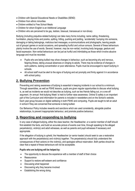- Children with Special Educational Needs or Disabilities (SEND)
- Children from ethnic minorities
- Children entitled to Free School Meals
- Children for whom English is an Additional Language
- Children who are perceived to be gay, lesbian, bisexual, transsexual or non-binary

Bullying (including prejudice-related bullying) can take many forms including; name calling, threatening, humiliation, playing tricks and pranks, spitting, hitting, pushing and jostling, 'accidentally' bumping into someone, damaging or taking belongings, malicious text messages, e-communications and photographs, leaving people out of groups/ games or social occasions, and spreading hurtful and untrue rumours. Several of these behaviours plainly involve the use of words. Several, however, may be non-verbal, involving body language, gesture and facial expression. Non-verbal behaviours can be just as hurtful and intimidating as those which involve abusive language and must be recorded.

- Pupils who are being bullied may show changes in behaviour, such as becoming shy and nervous, feigning illness, taking unusual absences or clinging to adults. There may be evidence of changes in work patterns, lacking concentration or poor attendance. Pupils must be encouraged to report bullying in schools.
- All school staff must be alert to the signs of bullying and act promptly and firmly against it in accordance with school policy.

# **2. Bullying Prevention**

Preventing and raising awareness of bullying is essential in keeping incidents in our school to a minimum. Through assemblies, as well as PSHE lessons, pupils are given regular opportunities to discuss what bullying is, as well as incidents we would not describe as bullying, such as two friends falling out, or a one-off argument. An annual 'Anti-bullying Week' is held to further raise awareness. Online/ E-safety is an important part of the Curriculum and information for parents is included in newsletters and on the School's website. Each year group focuses on digital wellbeing in both PSHE and computing. Pupils are taught to tell an adult in school if they are concerned that someone is being bullied.

Our Behaviour Policy includes rewards and sanctions which are used consistently, alongside positive relationships, to prevent inappropriate behaviour, and promote positive behaviour.

## **3. Reporting and responding to bullying**

In any case of alleged bullying, either the class teacher, the Headteacher, or a senior member of staff should first establish the facts, and build an accurate picture of events over time, through speaking to the alleged perpetrator(s), victim(s) and adult witnesses, as well as parents and pupil witnesses if necessary and appropriate.

If the allegation of bullying is upheld, the Headteacher (or senior leader) should seek to use a restorative approach with the perpetrator(s) and victim(s) together. The perpetrator(s) should fully understand the consequences of their actions on the victim(s), and apologise without reservation. Both parties should be clear that a repeat of these behaviours will not be acceptable.

#### **Pupils who are bullying will be helped by:**

- The opportunity to discuss the experience with a member of staff of their choice
- Reassurance
- Support to restore self-esteem and confidence
- Discussing what happened
- Discovering why they became involved
- Establishing the wrong doing